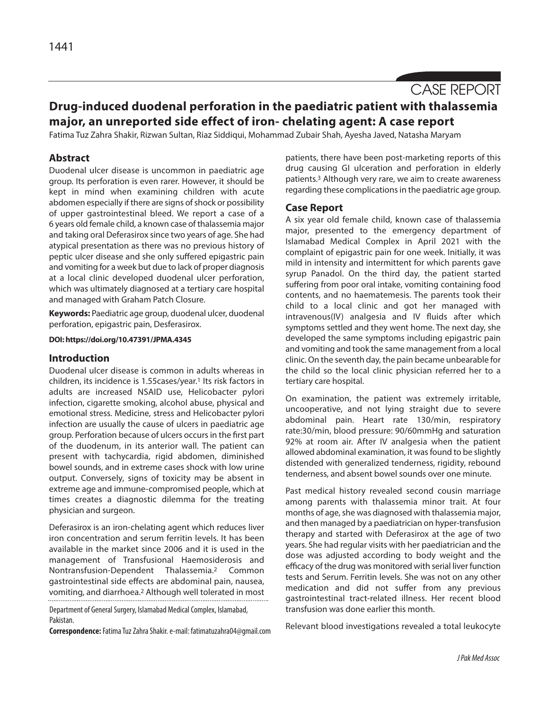# CASE REPORT

# **Drug-induced duodenal perforation in the paediatric patient with thalassemia major, an unreported side effect of iron- chelating agent: A case report**

Fatima Tuz Zahra Shakir, Rizwan Sultan, Riaz Siddiqui, Mohammad Zubair Shah, Ayesha Javed, Natasha Maryam

# **Abstract**

Duodenal ulcer disease is uncommon in paediatric age group. Its perforation is even rarer. However, it should be kept in mind when examining children with acute abdomen especially if there are signs of shock or possibility of upper gastrointestinal bleed. We report a case of a 6 years old female child, a known case of thalassemia major and taking oral Deferasirox since two years of age. She had atypical presentation as there was no previous history of peptic ulcer disease and she only suffered epigastric pain and vomiting for a week but due to lack of proper diagnosis at a local clinic developed duodenal ulcer perforation, which was ultimately diagnosed at a tertiary care hospital and managed with Graham Patch Closure.

**Keywords:** Paediatric age group, duodenal ulcer, duodenal perforation, epigastric pain, Desferasirox.

**DOI: https://doi.org/10.47391/JPMA.4345**

#### **Introduction**

Duodenal ulcer disease is common in adults whereas in children, its incidence is 1.55 cases/year.<sup>1</sup> Its risk factors in adults are increased NSAID use, Helicobacter pylori infection, cigarette smoking, alcohol abuse, physical and emotional stress. Medicine, stress and Helicobacter pylori infection are usually the cause of ulcers in paediatric age group. Perforation because of ulcers occurs in the first part of the duodenum, in its anterior wall. The patient can present with tachycardia, rigid abdomen, diminished bowel sounds, and in extreme cases shock with low urine output. Conversely, signs of toxicity may be absent in extreme age and immune-compromised people, which at times creates a diagnostic dilemma for the treating physician and surgeon.

Deferasirox is an iron-chelating agent which reduces liver iron concentration and serum ferritin levels. It has been available in the market since 2006 and it is used in the management of Transfusional Haemosiderosis and Nontransfusion-Dependent Thalassemia.2 Common gastrointestinal side effects are abdominal pain, nausea, vomiting, and diarrhoea.2 Although well tolerated in most

Department of General Surgery, Islamabad Medical Complex, Islamabad, Pakistan.

**Correspondence:**Fatima Tuz Zahra Shakir. e-mail: fatimatuzahra04@gmail.com

patients, there have been post-marketing reports of this drug causing GI ulceration and perforation in elderly patients.3 Although very rare, we aim to create awareness regarding these complications in the paediatric age group.

#### **Case Report**

A six year old female child, known case of thalassemia major, presented to the emergency department of Islamabad Medical Complex in April 2021 with the complaint of epigastric pain for one week. Initially, it was mild in intensity and intermittent for which parents gave syrup Panadol. On the third day, the patient started suffering from poor oral intake, vomiting containing food contents, and no haematemesis. The parents took their child to a local clinic and got her managed with intravenous(IV) analgesia and IV fluids after which symptoms settled and they went home. The next day, she developed the same symptoms including epigastric pain and vomiting and took the same management from a local clinic. On the seventh day, the pain became unbearable for the child so the local clinic physician referred her to a tertiary care hospital.

On examination, the patient was extremely irritable, uncooperative, and not lying straight due to severe abdominal pain. Heart rate 130/min, respiratory rate:30/min, blood pressure: 90/60mmHg and saturation 92% at room air. After IV analgesia when the patient allowed abdominal examination, it was found to be slightly distended with generalized tenderness, rigidity, rebound tenderness, and absent bowel sounds over one minute.

Past medical history revealed second cousin marriage among parents with thalassemia minor trait. At four months of age, she was diagnosed with thalassemia major, and then managed by a paediatrician on hyper-transfusion therapy and started with Deferasirox at the age of two years. She had regular visits with her paediatrician and the dose was adjusted according to body weight and the efficacy of the drug was monitored with serial liver function tests and Serum. Ferritin levels. She was not on any other medication and did not suffer from any previous gastrointestinal tract-related illness. Her recent blood transfusion was done earlier this month.

Relevant blood investigations revealed a total leukocyte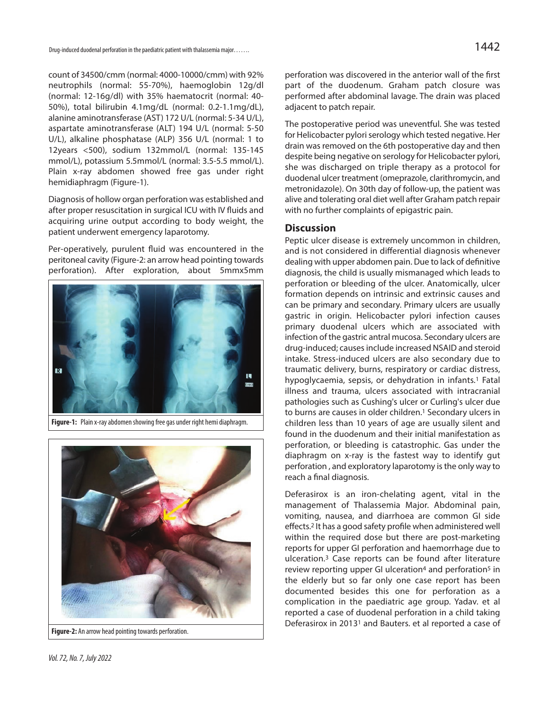count of 34500/cmm (normal: 4000-10000/cmm) with 92% neutrophils (normal: 55-70%), haemoglobin 12g/dl (normal: 12-16g/dl) with 35% haematocrit (normal: 40- 50%), total bilirubin 4.1mg/dL (normal: 0.2-1.1mg/dL), alanine aminotransferase (AST) 172 U/L (normal: 5-34 U/L), aspartate aminotransferase (ALT) 194 U/L (normal: 5-50 U/L), alkaline phosphatase (ALP) 356 U/L (normal: 1 to 12years <500), sodium 132mmol/L (normal: 135-145 mmol/L), potassium 5.5mmol/L (normal: 3.5-5.5 mmol/L). Plain x-ray abdomen showed free gas under right hemidiaphragm (Figure-1).

Diagnosis of hollow organ perforation was established and after proper resuscitation in surgical ICU with IV fluids and acquiring urine output according to body weight, the patient underwent emergency laparotomy.

Per-operatively, purulent fluid was encountered in the peritoneal cavity (Figure-2: an arrow head pointing towards perforation). After exploration, about 5mmx5mm



**Figure-1:** Plain x-ray abdomen showing free gas under right hemi diaphragm.



**Figure-2:** An arrow head pointing towards perforation.

perforation was discovered in the anterior wall of the first part of the duodenum. Graham patch closure was performed after abdominal lavage. The drain was placed adjacent to patch repair.

The postoperative period was uneventful. She was tested for Helicobacter pylori serology which tested negative. Her drain was removed on the 6th postoperative day and then despite being negative on serology for Helicobacter pylori, she was discharged on triple therapy as a protocol for duodenal ulcer treatment (omeprazole, clarithromycin, and metronidazole). On 30th day of follow-up, the patient was alive and tolerating oral diet well after Graham patch repair with no further complaints of epigastric pain.

## **Discussion**

Peptic ulcer disease is extremely uncommon in children, and is not considered in differential diagnosis whenever dealing with upper abdomen pain. Due to lack of definitive diagnosis, the child is usually mismanaged which leads to perforation or bleeding of the ulcer. Anatomically, ulcer formation depends on intrinsic and extrinsic causes and can be primary and secondary. Primary ulcers are usually gastric in origin. Helicobacter pylori infection causes primary duodenal ulcers which are associated with infection of the gastric antral mucosa. Secondary ulcers are drug-induced; causes include increased NSAID and steroid intake. Stress-induced ulcers are also secondary due to traumatic delivery, burns, respiratory or cardiac distress, hypoglycaemia, sepsis, or dehydration in infants.<sup>1</sup> Fatal illness and trauma, ulcers associated with intracranial pathologies such as Cushing's ulcer or Curling's ulcer due to burns are causes in older children.<sup>1</sup> Secondary ulcers in children less than 10 years of age are usually silent and found in the duodenum and their initial manifestation as perforation, or bleeding is catastrophic. Gas under the diaphragm on x-ray is the fastest way to identify gut perforation , and exploratory laparotomy is the only way to reach a final diagnosis.

Deferasirox is an iron-chelating agent, vital in the management of Thalassemia Major. Abdominal pain, vomiting, nausea, and diarrhoea are common GI side effects.2 It has a good safety profile when administered well within the required dose but there are post-marketing reports for upper GI perforation and haemorrhage due to ulceration.3 Case reports can be found after literature review reporting upper GI ulceration<sup>4</sup> and perforation<sup>5</sup> in the elderly but so far only one case report has been documented besides this one for perforation as a complication in the paediatric age group. Yadav. et al reported a case of duodenal perforation in a child taking Deferasirox in 20131 and Bauters. et al reported a case of